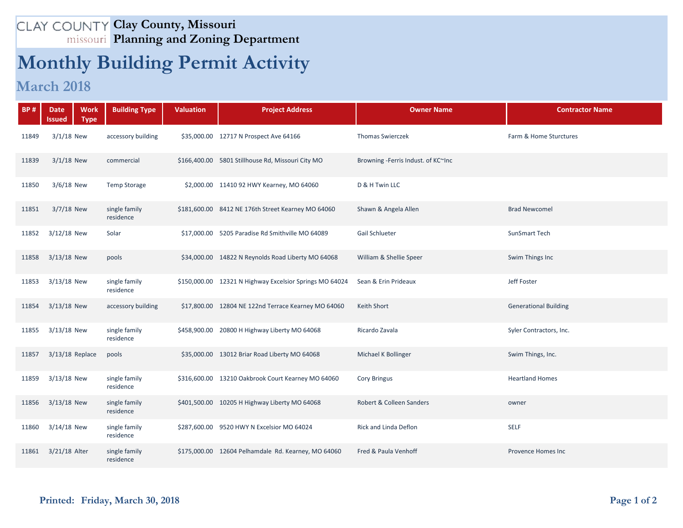## **Clay County, Missouri Planning and Zoning Department**

## **Monthly Building Permit Activity**

## **March 2018**

| <b>BP#</b> | <b>Work</b><br><b>Date</b><br>Issued<br><b>Type</b> | <b>Building Type</b>       | <b>Valuation</b> | <b>Project Address</b>                                  | <b>Owner Name</b>                  | <b>Contractor Name</b>       |
|------------|-----------------------------------------------------|----------------------------|------------------|---------------------------------------------------------|------------------------------------|------------------------------|
| 11849      | $3/1/18$ New                                        | accessory building         |                  | \$35,000.00 12717 N Prospect Ave 64166                  | <b>Thomas Swierczek</b>            | Farm & Home Sturctures       |
| 11839      | $3/1/18$ New                                        | commercial                 |                  | \$166,400.00 5801 Stillhouse Rd, Missouri City MO       | Browning -Ferris Indust. of KC~Inc |                              |
| 11850      | $3/6/18$ New                                        | <b>Temp Storage</b>        |                  | \$2,000.00 11410 92 HWY Kearney, MO 64060               | D & H Twin LLC                     |                              |
| 11851      | 3/7/18 New                                          | single family<br>residence |                  | \$181,600.00 8412 NE 176th Street Kearney MO 64060      | Shawn & Angela Allen               | <b>Brad Newcomel</b>         |
| 11852      | 3/12/18 New                                         | Solar                      |                  | \$17,000.00 5205 Paradise Rd Smithville MO 64089        | Gail Schlueter                     | SunSmart Tech                |
| 11858      | $3/13/18$ New                                       | pools                      |                  | \$34,000.00 14822 N Reynolds Road Liberty MO 64068      | William & Shellie Speer            | Swim Things Inc              |
| 11853      | 3/13/18 New                                         | single family<br>residence |                  | \$150,000.00 12321 N Highway Excelsior Springs MO 64024 | Sean & Erin Prideaux               | Jeff Foster                  |
| 11854      | $3/13/18$ New                                       | accessory building         |                  | \$17,800.00 12804 NE 122nd Terrace Kearney MO 64060     | Keith Short                        | <b>Generational Building</b> |
| 11855      | 3/13/18 New                                         | single family<br>residence |                  | \$458,900.00 20800 H Highway Liberty MO 64068           | Ricardo Zavala                     | Syler Contractors, Inc.      |
| 11857      | $3/13/18$ Replace                                   | pools                      |                  | \$35,000.00 13012 Briar Road Liberty MO 64068           | Michael K Bollinger                | Swim Things, Inc.            |
| 11859      | 3/13/18 New                                         | single family<br>residence |                  | \$316,600.00 13210 Oakbrook Court Kearney MO 64060      | <b>Cory Bringus</b>                | <b>Heartland Homes</b>       |
| 11856      | $3/13/18$ New                                       | single family<br>residence |                  | \$401,500.00 10205 H Highway Liberty MO 64068           | Robert & Colleen Sanders           | owner                        |
| 11860      | 3/14/18 New                                         | single family<br>residence |                  | \$287,600.00 9520 HWY N Excelsior MO 64024              | Rick and Linda Deflon              | <b>SELF</b>                  |
| 11861      | 3/21/18 Alter                                       | single family<br>residence |                  | \$175,000.00 12604 Pelhamdale Rd. Kearney, MO 64060     | Fred & Paula Venhoff               | Provence Homes Inc           |